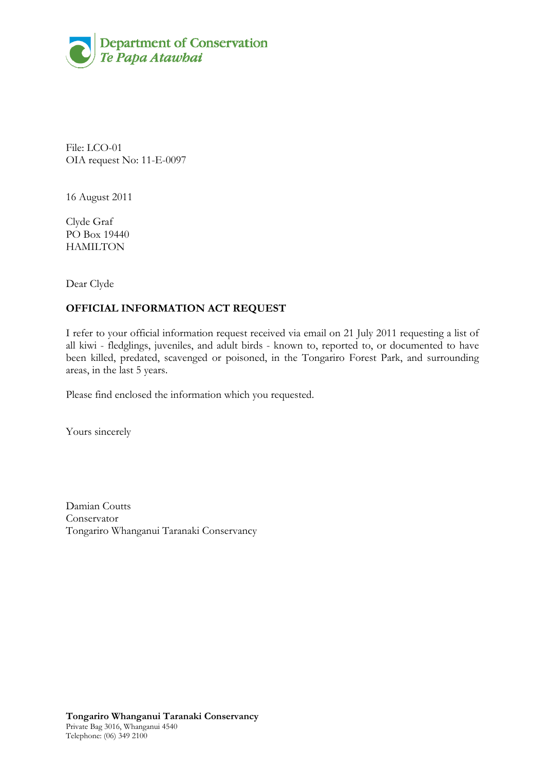

File: LCO-01 OIA request No: 11-E-0097

16 August 2011

Clyde Graf PO Box 19440 **HAMILTON** 

Dear Clyde

# **OFFICIAL INFORMATION ACT REQUEST**

I refer to your official information request received via email on 21 July 2011 requesting a list of all kiwi - fledglings, juveniles, and adult birds - known to, reported to, or documented to have been killed, predated, scavenged or poisoned, in the Tongariro Forest Park, and surrounding areas, in the last 5 years.

Please find enclosed the information which you requested.

Yours sincerely

Damian Coutts Conservator Tongariro Whanganui Taranaki Conservancy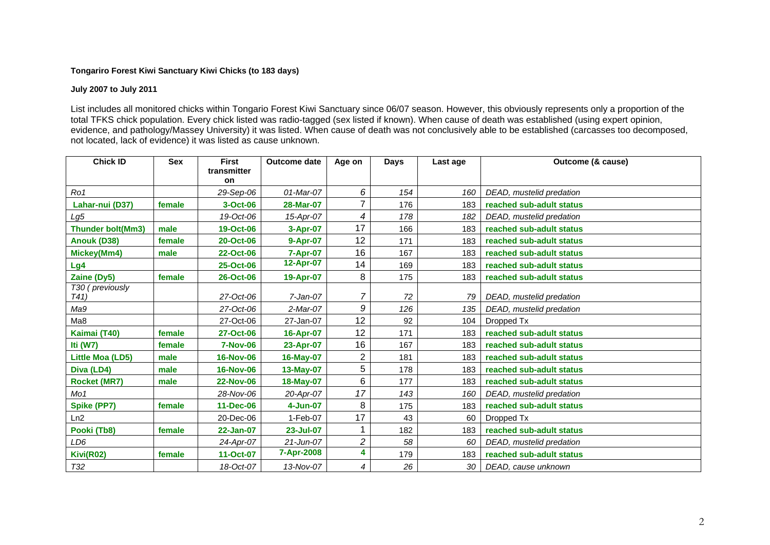### **Tongariro Forest Kiwi Sanctuary Kiwi Chicks (to 183 days)**

#### **July 2007 to July 2011**

List includes all monitored chicks within Tongario Forest Kiwi Sanctuary since 06/07 season. However, this obviously represents only a proportion of the total TFKS chick population. Every chick listed was radio-tagged (sex listed if known). When cause of death was established (using expert opinion, evidence, and pathology/Massey University) it was listed. When cause of death was not conclusively able to be established (carcasses too decomposed, not located, lack of evidence) it was listed as cause unknown.

| <b>Chick ID</b>                    | <b>Sex</b> | <b>First</b>      | <b>Outcome date</b> | Age on | <b>Days</b> | Last age | Outcome (& cause)        |
|------------------------------------|------------|-------------------|---------------------|--------|-------------|----------|--------------------------|
|                                    |            | transmitter<br>on |                     |        |             |          |                          |
| Ro1                                |            | 29-Sep-06         | 01-Mar-07           | 6      | 154         | 160      | DEAD, mustelid predation |
| Lahar-nui (D37)                    | female     | 3-Oct-06          | 28-Mar-07           |        | 176         | 183      | reached sub-adult status |
| Lg5                                |            | 19-Oct-06         | 15-Apr-07           | 4      | 178         | 182      | DEAD, mustelid predation |
| Thunder bolt(Mm3)                  | male       | 19-Oct-06         | 3-Apr-07            | 17     | 166         | 183      | reached sub-adult status |
| Anouk (D38)                        | female     | 20-Oct-06         | 9-Apr-07            | 12     | 171         | 183      | reached sub-adult status |
| Mickey(Mm4)                        | male       | 22-Oct-06         | 7-Apr-07            | 16     | 167         | 183      | reached sub-adult status |
| Lg4                                |            | 25-Oct-06         | 12-Apr-07           | 14     | 169         | 183      | reached sub-adult status |
| Zaine (Dy5)                        | female     | 26-Oct-06         | 19-Apr-07           | 8      | 175         | 183      | reached sub-adult status |
| T30 (previously<br>T <sub>41</sub> |            | 27-Oct-06         | $7$ -Jan-07         | 7      | 72          | 79       | DEAD, mustelid predation |
| Ma9                                |            | 27-Oct-06         | 2-Mar-07            | 9      | 126         | 135      | DEAD, mustelid predation |
| Ma8                                |            | 27-Oct-06         | 27-Jan-07           | 12     | 92          | 104      | Dropped Tx               |
| Kaimai (T40)                       | female     | 27-Oct-06         | 16-Apr-07           | 12     | 171         | 183      | reached sub-adult status |
| Iti (W7)                           | female     | <b>7-Nov-06</b>   | 23-Apr-07           | 16     | 167         | 183      | reached sub-adult status |
| Little Moa (LD5)                   | male       | <b>16-Nov-06</b>  | 16-May-07           | 2      | 181         | 183      | reached sub-adult status |
| Diva (LD4)                         | male       | <b>16-Nov-06</b>  | 13-May-07           | 5      | 178         | 183      | reached sub-adult status |
| <b>Rocket (MR7)</b>                | male       | <b>22-Nov-06</b>  | 18-May-07           | 6      | 177         | 183      | reached sub-adult status |
| Mo1                                |            | 28-Nov-06         | 20-Apr-07           | 17     | 143         | 160      | DEAD, mustelid predation |
| <b>Spike (PP7)</b>                 | female     | 11-Dec-06         | 4-Jun-07            | 8      | 175         | 183      | reached sub-adult status |
| Ln2                                |            | 20-Dec-06         | $1-Feb-07$          | 17     | 43          | 60       | Dropped Tx               |
| Pooki (Tb8)                        | female     | 22-Jan-07         | 23-Jul-07           |        | 182         | 183      | reached sub-adult status |
| LD6                                |            | 24-Apr-07         | $21$ -Jun-07        | 2      | 58          | 60       | DEAD, mustelid predation |
| Kivi(R02)                          | female     | 11-Oct-07         | 7-Apr-2008          | 4      | 179         | 183      | reached sub-adult status |
| <b>T32</b>                         |            | 18-Oct-07         | 13-Nov-07           | 4      | 26          | 30       | DEAD, cause unknown      |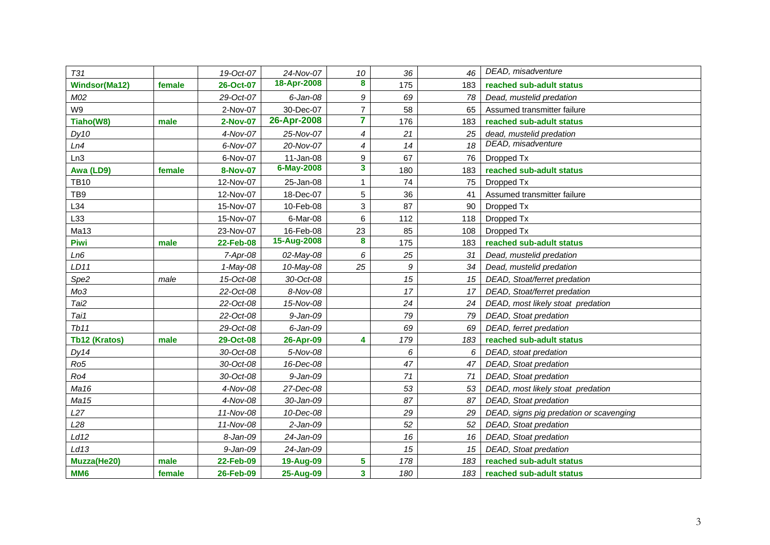| <b>T31</b>      |        | 19-Oct-07       | 24-Nov-07    | 10             | 36   | 46  | DEAD, misadventure                      |
|-----------------|--------|-----------------|--------------|----------------|------|-----|-----------------------------------------|
| Windsor(Ma12)   | female | 26-Oct-07       | 18-Apr-2008  | 8              | 175  | 183 | reached sub-adult status                |
| M02             |        | 29-Oct-07       | $6$ -Jan-08  | 9              | 69   | 78  | Dead, mustelid predation                |
| W9              |        | 2-Nov-07        | 30-Dec-07    | $\overline{7}$ | 58   | 65  | Assumed transmitter failure             |
| Tiaho(W8)       | male   | 2-Nov-07        | 26-Apr-2008  | 7              | 176  | 183 | reached sub-adult status                |
| Dy10            |        | 4-Nov-07        | 25-Nov-07    | 4              | 21   | 25  | dead, mustelid predation                |
| Ln4             |        | 6-Nov-07        | 20-Nov-07    | $\overline{4}$ | 14   | 18  | DEAD, misadventure                      |
| Ln3             |        | 6-Nov-07        | $11-Jan-08$  | 9              | 67   | 76  | Dropped Tx                              |
| Awa (LD9)       | female | <b>8-Nov-07</b> | 6-May-2008   | 3              | 180  | 183 | reached sub-adult status                |
| <b>TB10</b>     |        | 12-Nov-07       | 25-Jan-08    | 1              | 74   | 75  | Dropped Tx                              |
| TB <sub>9</sub> |        | 12-Nov-07       | 18-Dec-07    | 5              | 36   | 41  | Assumed transmitter failure             |
| L34             |        | 15-Nov-07       | 10-Feb-08    | 3              | 87   | 90  | Dropped Tx                              |
| L33             |        | 15-Nov-07       | 6-Mar-08     | 6              | 112  | 118 | Dropped Tx                              |
| Ma13            |        | 23-Nov-07       | 16-Feb-08    | 23             | 85   | 108 | Dropped Tx                              |
| Piwi            | male   | 22-Feb-08       | 15-Aug-2008  | 8              | 175  | 183 | reached sub-adult status                |
| Ln6             |        | $7-Apr-08$      | 02-May-08    | 6              | 25   | 31  | Dead, mustelid predation                |
| LD11            |        | $1$ -May-08     | 10-May-08    | 25             | 9    | 34  | Dead, mustelid predation                |
| Spe2            | male   | 15-Oct-08       | 30-Oct-08    |                | 15   | 15  | DEAD, Stoat/ferret predation            |
| Mo3             |        | 22-Oct-08       | 8-Nov-08     |                | 17   | 17  | DEAD, Stoat/ferret predation            |
| Tai2            |        | 22-Oct-08       | 15-Nov-08    |                | 24   | 24  | DEAD, most likely stoat predation       |
| Tai1            |        | 22-Oct-08       | $9 - Jan-09$ |                | 79   | 79  | DEAD, Stoat predation                   |
| Tb11            |        | 29-Oct-08       | $6$ -Jan-09  |                | 69   | 69  | DEAD, ferret predation                  |
| Tb12 (Kratos)   | male   | 29-Oct-08       | 26-Apr-09    | 4              | 179  | 183 | reached sub-adult status                |
| Dy14            |        | 30-Oct-08       | 5-Nov-08     |                | 6    | 6   | DEAD, stoat predation                   |
| Ro <sub>5</sub> |        | 30-Oct-08       | 16-Dec-08    |                | 47   | 47  | DEAD, Stoat predation                   |
| Ro4             |        | 30-Oct-08       | 9-Jan-09     |                | $71$ | 71  | DEAD, Stoat predation                   |
| Ma16            |        | 4-Nov-08        | 27-Dec-08    |                | 53   | 53  | DEAD, most likely stoat predation       |
| Ma15            |        | 4-Nov-08        | 30-Jan-09    |                | 87   | 87  | DEAD, Stoat predation                   |
| L27             |        | 11-Nov-08       | 10-Dec-08    |                | 29   | 29  | DEAD, signs pig predation or scavenging |
| L28             |        | 11-Nov-08       | $2-Jan-09$   |                | 52   | 52  | DEAD, Stoat predation                   |
| Ld12            |        | 8-Jan-09        | 24-Jan-09    |                | 16   | 16  | DEAD, Stoat predation                   |
| Ld13            |        | 9-Jan-09        | 24-Jan-09    |                | 15   | 15  | DEAD, Stoat predation                   |
| Muzza(He20)     | male   | 22-Feb-09       | 19-Aug-09    | 5              | 178  | 183 | reached sub-adult status                |
| MM <sub>6</sub> | female | 26-Feb-09       | 25-Aug-09    | 3              | 180  | 183 | reached sub-adult status                |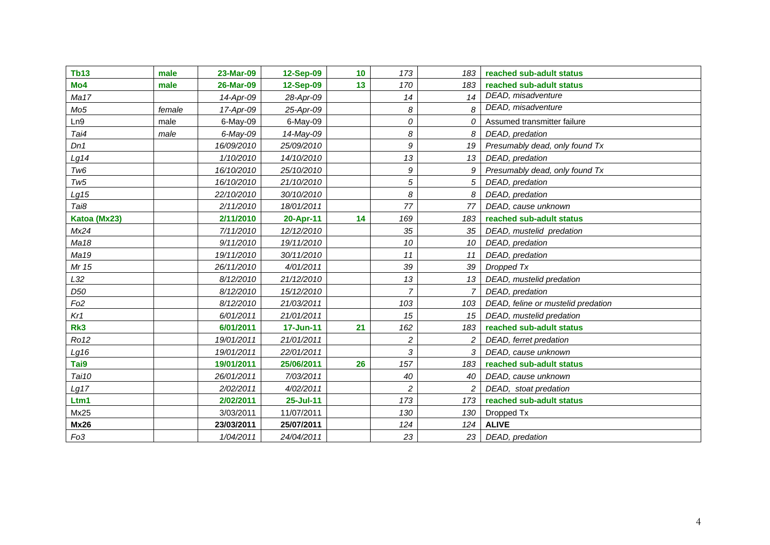| <b>Tb13</b>     | male   | 23-Mar-09   | 12-Sep-09  | 10 | 173                     | 183             | reached sub-adult status           |
|-----------------|--------|-------------|------------|----|-------------------------|-----------------|------------------------------------|
| Mo <sub>4</sub> | male   | 26-Mar-09   | 12-Sep-09  | 13 | 170                     | 183             | reached sub-adult status           |
| Ma17            |        | 14-Apr-09   | 28-Apr-09  |    | 14                      | 14              | DEAD, misadventure                 |
| Mo <sub>5</sub> | female | 17-Apr-09   | 25-Apr-09  |    | 8                       | 8               | DEAD, misadventure                 |
| Ln9             | male   | 6-May-09    | 6-May-09   |    | 0                       | 0               | Assumed transmitter failure        |
| Tai4            | male   | $6$ -May-09 | 14-May-09  |    | 8                       | 8               | DEAD, predation                    |
| Dn1             |        | 16/09/2010  | 25/09/2010 |    | 9                       | 19              | Presumably dead, only found Tx     |
| Lg14            |        | 1/10/2010   | 14/10/2010 |    | 13                      | 13              | DEAD, predation                    |
| Tw <sub>6</sub> |        | 16/10/2010  | 25/10/2010 |    | 9                       | 9               | Presumably dead, only found Tx     |
| Tw5             |        | 16/10/2010  | 21/10/2010 |    | 5                       | 5               | DEAD, predation                    |
| Lg15            |        | 22/10/2010  | 30/10/2010 |    | 8                       | 8               | DEAD, predation                    |
| Tai8            |        | 2/11/2010   | 18/01/2011 |    | 77                      | 77              | DEAD, cause unknown                |
| Katoa (Mx23)    |        | 2/11/2010   | 20-Apr-11  | 14 | 169                     | 183             | reached sub-adult status           |
| Mx24            |        | 7/11/2010   | 12/12/2010 |    | 35                      | 35              | DEAD, mustelid predation           |
| Ma18            |        | 9/11/2010   | 19/11/2010 |    | 10                      | 10              | DEAD, predation                    |
| Ma19            |        | 19/11/2010  | 30/11/2010 |    | 11                      | 11              | DEAD, predation                    |
| Mr 15           |        | 26/11/2010  | 4/01/2011  |    | 39                      | 39              | Dropped Tx                         |
| L32             |        | 8/12/2010   | 21/12/2010 |    | 13                      | 13              | DEAD, mustelid predation           |
| D <sub>50</sub> |        | 8/12/2010   | 15/12/2010 |    | $\overline{7}$          |                 | DEAD, predation                    |
| Fo <sub>2</sub> |        | 8/12/2010   | 21/03/2011 |    | 103                     | 103             | DEAD, feline or mustelid predation |
| Kr1             |        | 6/01/2011   | 21/01/2011 |    | 15                      | 15              | DEAD, mustelid predation           |
| Rk3             |        | 6/01/2011   | 17-Jun-11  | 21 | 162                     | 183             | reached sub-adult status           |
| Ro12            |        | 19/01/2011  | 21/01/2011 |    | $\overline{\mathbf{c}}$ | $\overline{2}$  | DEAD, ferret predation             |
| Lg16            |        | 19/01/2011  | 22/01/2011 |    | 3                       | 3               | DEAD, cause unknown                |
| Tai9            |        | 19/01/2011  | 25/06/2011 | 26 | 157                     | 183             | reached sub-adult status           |
| Tai10           |        | 26/01/2011  | 7/03/2011  |    | 40                      | 40              | DEAD, cause unknown                |
| Lg17            |        | 2/02/2011   | 4/02/2011  |    | $\overline{c}$          | 2               | DEAD, stoat predation              |
| Ltm1            |        | 2/02/2011   | 25-Jul-11  |    | 173                     | 173             | reached sub-adult status           |
| Mx25            |        | 3/03/2011   | 11/07/2011 |    | 130                     | 130             | Dropped Tx                         |
| <b>Mx26</b>     |        | 23/03/2011  | 25/07/2011 |    | 124                     | 124             | <b>ALIVE</b>                       |
| Fo3             |        | 1/04/2011   | 24/04/2011 |    | 23                      | 23 <sup>1</sup> | DEAD, predation                    |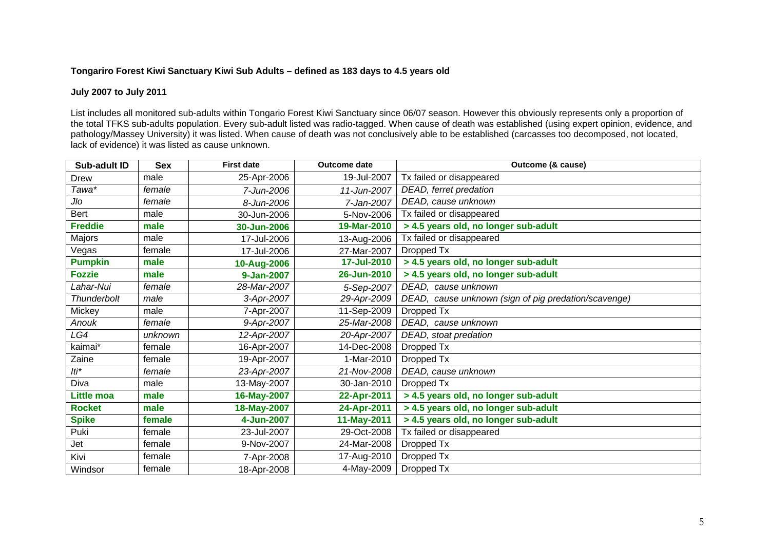## **Tongariro Forest Kiwi Sanctuary Kiwi Sub Adults – defined as 183 days to 4.5 years old**

### **July 2007 to July 2011**

List includes all monitored sub-adults within Tongario Forest Kiwi Sanctuary since 06/07 season. However this obviously represents only a proportion of the total TFKS sub-adults population. Every sub-adult listed was radio-tagged. When cause of death was established (using expert opinion, evidence, and pathology/Massey University) it was listed. When cause of death was not conclusively able to be established (carcasses too decomposed, not located, lack of evidence) it was listed as cause unknown.

| Sub-adult ID      | <b>Sex</b> | <b>First date</b> | <b>Outcome date</b> | Outcome (& cause)                                    |
|-------------------|------------|-------------------|---------------------|------------------------------------------------------|
| Drew              | male       | 25-Apr-2006       | 19-Jul-2007         | Tx failed or disappeared                             |
| Tawa*             | female     | 7-Jun-2006        | 11-Jun-2007         | DEAD, ferret predation                               |
| Jlo               | female     | 8-Jun-2006        | 7-Jan-2007          | DEAD, cause unknown                                  |
| Bert              | male       | 30-Jun-2006       | 5-Nov-2006          | Tx failed or disappeared                             |
| <b>Freddie</b>    | male       | 30-Jun-2006       | 19-Mar-2010         | > 4.5 years old, no longer sub-adult                 |
| Majors            | male       | 17-Jul-2006       | 13-Aug-2006         | Tx failed or disappeared                             |
| Vegas             | female     | 17-Jul-2006       | 27-Mar-2007         | Dropped Tx                                           |
| <b>Pumpkin</b>    | male       | 10-Aug-2006       | 17-Jul-2010         | > 4.5 years old, no longer sub-adult                 |
| <b>Fozzie</b>     | male       | 9-Jan-2007        | 26-Jun-2010         | > 4.5 years old, no longer sub-adult                 |
| Lahar-Nui         | female     | 28-Mar-2007       | 5-Sep-2007          | DEAD, cause unknown                                  |
| Thunderbolt       | male       | 3-Apr-2007        | 29-Apr-2009         | DEAD, cause unknown (sign of pig predation/scavenge) |
| Mickey            | male       | 7-Apr-2007        | 11-Sep-2009         | Dropped Tx                                           |
| Anouk             | female     | 9-Apr-2007        | 25-Mar-2008         | DEAD, cause unknown                                  |
| LG4               | unknown    | 12-Apr-2007       | 20-Apr-2007         | DEAD, stoat predation                                |
| kaimai*           | female     | 16-Apr-2007       | 14-Dec-2008         | Dropped Tx                                           |
| Zaine             | female     | 19-Apr-2007       | 1-Mar-2010          | Dropped Tx                                           |
| lti*              | female     | 23-Apr-2007       | 21-Nov-2008         | DEAD, cause unknown                                  |
| Diva              | male       | 13-May-2007       | 30-Jan-2010         | Dropped Tx                                           |
| <b>Little moa</b> | male       | 16-May-2007       | 22-Apr-2011         | > 4.5 years old, no longer sub-adult                 |
| <b>Rocket</b>     | male       | 18-May-2007       | 24-Apr-2011         | > 4.5 years old, no longer sub-adult                 |
| <b>Spike</b>      | female     | 4-Jun-2007        | 11-May-2011         | > 4.5 years old, no longer sub-adult                 |
| Puki              | female     | 23-Jul-2007       | 29-Oct-2008         | Tx failed or disappeared                             |
| Jet               | female     | 9-Nov-2007        | 24-Mar-2008         | Dropped Tx                                           |
| Kivi              | female     | 7-Apr-2008        | 17-Aug-2010         | Dropped Tx                                           |
| Windsor           | female     | 18-Apr-2008       | 4-May-2009          | Dropped Tx                                           |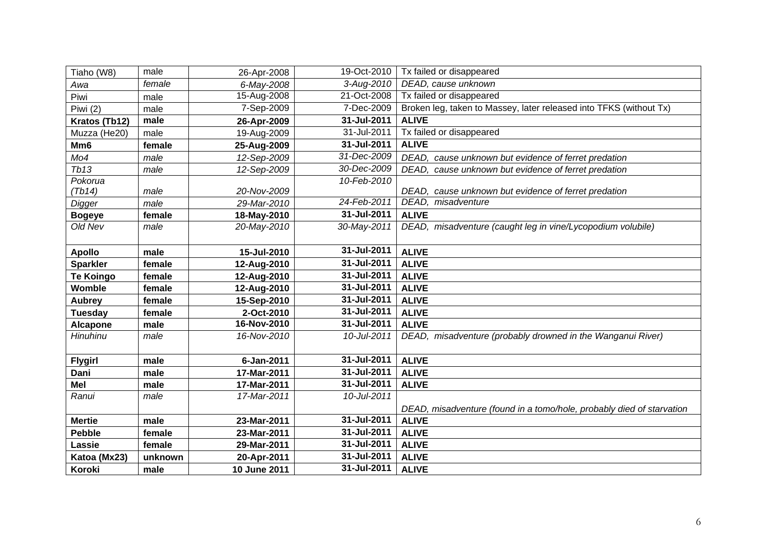| Tiaho (W8)       | male    | 26-Apr-2008  | 19-Oct-2010 | Tx failed or disappeared                                              |
|------------------|---------|--------------|-------------|-----------------------------------------------------------------------|
| Awa              | female  | 6-May-2008   | 3-Aug-2010  | DEAD, cause unknown                                                   |
| Piwi             | male    | 15-Aug-2008  | 21-Oct-2008 | Tx failed or disappeared                                              |
| Piwi (2)         | male    | 7-Sep-2009   | 7-Dec-2009  | Broken leg, taken to Massey, later released into TFKS (without Tx)    |
| Kratos (Tb12)    | male    | 26-Apr-2009  | 31-Jul-2011 | <b>ALIVE</b>                                                          |
| Muzza (He20)     | male    | 19-Aug-2009  | 31-Jul-2011 | Tx failed or disappeared                                              |
| Mm <sub>6</sub>  | female  | 25-Aug-2009  | 31-Jul-2011 | <b>ALIVE</b>                                                          |
| Mo4              | male    | 12-Sep-2009  | 31-Dec-2009 | DEAD, cause unknown but evidence of ferret predation                  |
| Tb13             | male    | 12-Sep-2009  | 30-Dec-2009 | DEAD, cause unknown but evidence of ferret predation                  |
| Pokorua          |         |              | 10-Feb-2010 |                                                                       |
| (Tb14)           | male    | 20-Nov-2009  |             | DEAD, cause unknown but evidence of ferret predation                  |
| Digger           | male    | 29-Mar-2010  | 24-Feb-2011 | DEAD, misadventure                                                    |
| <b>Bogeye</b>    | female  | 18-May-2010  | 31-Jul-2011 | <b>ALIVE</b>                                                          |
| Old Nev          | male    | 20-May-2010  | 30-May-2011 | DEAD, misadventure (caught leg in vine/Lycopodium volubile)           |
|                  |         |              |             |                                                                       |
| <b>Apollo</b>    | male    | 15-Jul-2010  | 31-Jul-2011 | <b>ALIVE</b>                                                          |
| <b>Sparkler</b>  | female  | 12-Aug-2010  | 31-Jul-2011 | <b>ALIVE</b>                                                          |
| <b>Te Koingo</b> | female  | 12-Aug-2010  | 31-Jul-2011 | <b>ALIVE</b>                                                          |
| Womble           | female  | 12-Aug-2010  | 31-Jul-2011 | <b>ALIVE</b>                                                          |
| Aubrey           | female  | 15-Sep-2010  | 31-Jul-2011 | <b>ALIVE</b>                                                          |
| <b>Tuesday</b>   | female  | 2-Oct-2010   | 31-Jul-2011 | <b>ALIVE</b>                                                          |
| <b>Alcapone</b>  | male    | 16-Nov-2010  | 31-Jul-2011 | <b>ALIVE</b>                                                          |
| Hinuhinu         | male    | 16-Nov-2010  | 10-Jul-2011 | DEAD, misadventure (probably drowned in the Wanganui River)           |
|                  |         |              |             |                                                                       |
| <b>Flygirl</b>   | male    | 6-Jan-2011   | 31-Jul-2011 | <b>ALIVE</b>                                                          |
| Dani             | male    | 17-Mar-2011  | 31-Jul-2011 | <b>ALIVE</b>                                                          |
| <b>Mel</b>       | male    | 17-Mar-2011  | 31-Jul-2011 | <b>ALIVE</b>                                                          |
| Ranui            | male    | 17-Mar-2011  | 10-Jul-2011 |                                                                       |
|                  |         |              |             | DEAD, misadventure (found in a tomo/hole, probably died of starvation |
| <b>Mertie</b>    | male    | 23-Mar-2011  | 31-Jul-2011 | <b>ALIVE</b>                                                          |
| <b>Pebble</b>    | female  | 23-Mar-2011  | 31-Jul-2011 | <b>ALIVE</b>                                                          |
| Lassie           | female  | 29-Mar-2011  | 31-Jul-2011 | <b>ALIVE</b>                                                          |
| Katoa (Mx23)     | unknown | 20-Apr-2011  | 31-Jul-2011 | <b>ALIVE</b>                                                          |
| Koroki           | male    | 10 June 2011 | 31-Jul-2011 | <b>ALIVE</b>                                                          |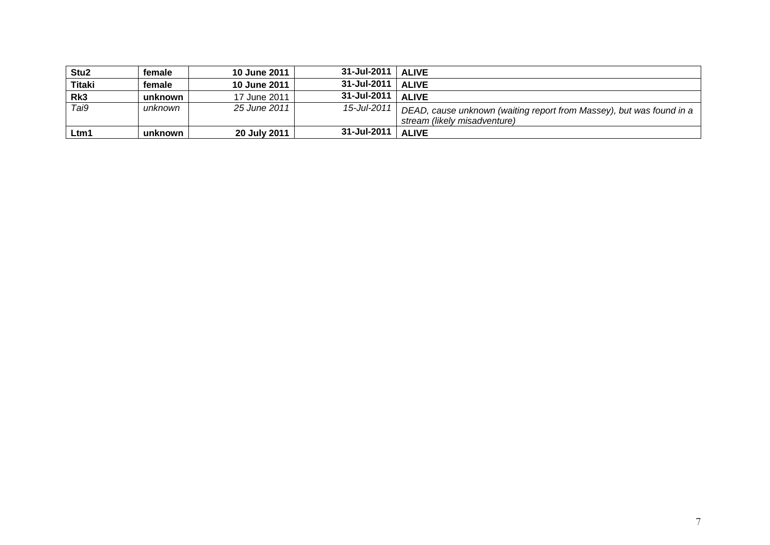| Stu <sub>2</sub> | female  | 10 June 2011 | 31-Jul-2011   ALIVE |                                                                                                      |
|------------------|---------|--------------|---------------------|------------------------------------------------------------------------------------------------------|
| <b>Titaki</b>    | female  | 10 June 2011 | 31-Jul-2011   ALIVE |                                                                                                      |
| Rk3              | unknown | 17 June 2011 | 31-Jul-2011   ALIVE |                                                                                                      |
| $\overline{Ta}$  | unknown | 25 June 2011 | 15-Jul-2011         | DEAD, cause unknown (waiting report from Massey), but was found in a<br>stream (likely misadventure) |
| Ltm1             | unknown | 20 July 2011 | $31 -$ Jul-2011     | <b>ALIVE</b>                                                                                         |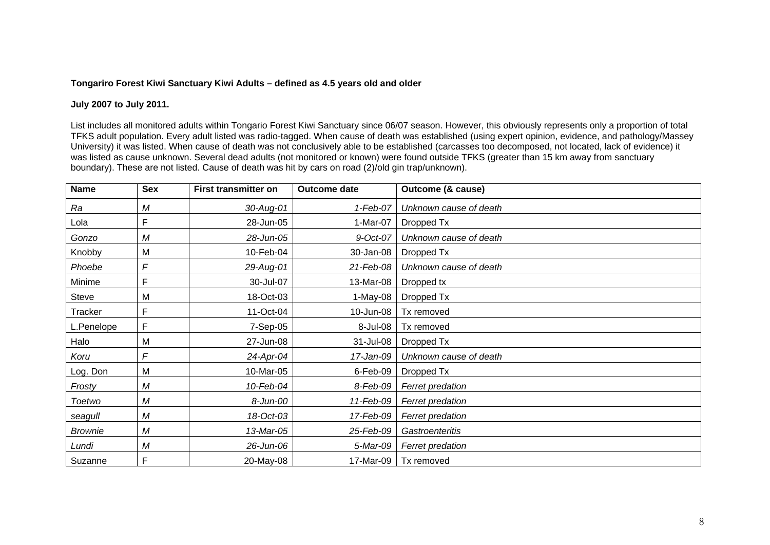### **Tongariro Forest Kiwi Sanctuary Kiwi Adults – defined as 4.5 years old and older**

### **July 2007 to July 2011.**

List includes all monitored adults within Tongario Forest Kiwi Sanctuary since 06/07 season. However, this obviously represents only a proportion of total TFKS adult population. Every adult listed was radio-tagged. When cause of death was established (using expert opinion, evidence, and pathology/Massey University) it was listed. When cause of death was not conclusively able to be established (carcasses too decomposed, not located, lack of evidence) it was listed as cause unknown. Several dead adults (not monitored or known) were found outside TFKS (greater than 15 km away from sanctuary boundary). These are not listed. Cause of death was hit by cars on road (2)/old gin trap/unknown).

| <b>Name</b>    | <b>Sex</b> | <b>First transmitter on</b> | Outcome date | Outcome (& cause)      |
|----------------|------------|-----------------------------|--------------|------------------------|
| Ra             | М          | 30-Aug-01                   | 1-Feb-07     | Unknown cause of death |
| Lola           | F          | 28-Jun-05                   | 1-Mar-07     | Dropped Tx             |
| Gonzo          | М          | 28-Jun-05                   | 9-Oct-07     | Unknown cause of death |
| Knobby         | M          | 10-Feb-04                   | 30-Jan-08    | Dropped Tx             |
| Phoebe         | F          | 29-Aug-01                   | 21-Feb-08    | Unknown cause of death |
| Minime         | F          | 30-Jul-07                   | 13-Mar-08    | Dropped tx             |
| <b>Steve</b>   | M          | 18-Oct-03                   | 1-May-08 $ $ | Dropped Tx             |
| Tracker        | F          | 11-Oct-04                   | 10-Jun-08    | Tx removed             |
| L.Penelope     | F          | 7-Sep-05                    | 8-Jul-08     | Tx removed             |
| Halo           | M          | 27-Jun-08                   | 31-Jul-08    | Dropped Tx             |
| Koru           | F          | 24-Apr-04                   | 17-Jan-09    | Unknown cause of death |
| Log. Don       | M          | 10-Mar-05                   | 6-Feb-09     | Dropped Tx             |
| Frosty         | М          | 10-Feb-04                   | 8-Feb-09     | Ferret predation       |
| <b>Toetwo</b>  | М          | 8-Jun-00                    | 11-Feb-09    | Ferret predation       |
| seagull        | Μ          | 18-Oct-03                   | 17-Feb-09    | Ferret predation       |
| <b>Brownie</b> | М          | 13-Mar-05                   | 25-Feb-09    | Gastroenteritis        |
| Lundi          | М          | 26-Jun-06                   | 5-Mar-09     | Ferret predation       |
| Suzanne        | F          | 20-May-08                   |              | 17-Mar-09   Tx removed |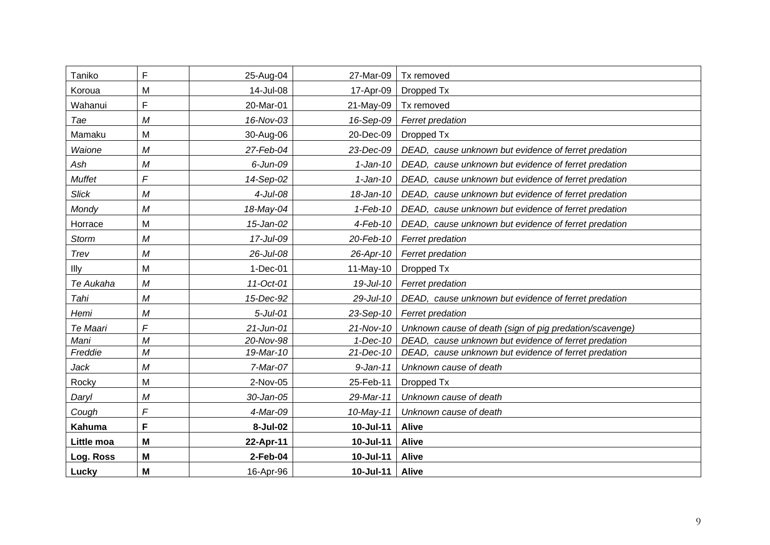| Taniko        | F              | 25-Aug-04    | 27-Mar-09    | Tx removed                                              |
|---------------|----------------|--------------|--------------|---------------------------------------------------------|
| Koroua        | M              | 14-Jul-08    | 17-Apr-09    | Dropped Tx                                              |
| Wahanui       | F              | 20-Mar-01    | 21-May-09    | Tx removed                                              |
| Tae           | M              | 16-Nov-03    | 16-Sep-09    | Ferret predation                                        |
| Mamaku        | M              | 30-Aug-06    | 20-Dec-09    | Dropped Tx                                              |
| Waione        | $\overline{M}$ | 27-Feb-04    | 23-Dec-09    | DEAD, cause unknown but evidence of ferret predation    |
| Ash           | M              | $6$ -Jun-09  | 1-Jan-10     | DEAD, cause unknown but evidence of ferret predation    |
| <b>Muffet</b> | F              | 14-Sep-02    | 1-Jan-10     | DEAD, cause unknown but evidence of ferret predation    |
| <b>Slick</b>  | M              | $4$ -Jul-08  | 18-Jan-10    | DEAD, cause unknown but evidence of ferret predation    |
| Mondy         | M              | 18-May-04    | $1-Feb-10$   | DEAD, cause unknown but evidence of ferret predation    |
| Horrace       | M              | 15-Jan-02    | $4$ -Feb-10  | DEAD, cause unknown but evidence of ferret predation    |
| Storm         | M              | 17-Jul-09    | 20-Feb-10    | Ferret predation                                        |
| Trev          | M              | 26-Jul-08    | 26-Apr-10    | Ferret predation                                        |
| Illy          | M              | $1-Dec-01$   | 11-May-10    | Dropped Tx                                              |
| Te Aukaha     | M              | 11-Oct-01    | 19-Jul-10    | Ferret predation                                        |
| Tahi          | М              | 15-Dec-92    | 29-Jul-10    | DEAD, cause unknown but evidence of ferret predation    |
| Hemi          | M              | $5$ -Jul-01  | 23-Sep-10    | <b>Ferret predation</b>                                 |
| Te Maari      | F              | $21$ -Jun-01 | 21-Nov-10    | Unknown cause of death (sign of pig predation/scavenge) |
| Mani          | M              | 20-Nov-98    | $1 - Dec-10$ | DEAD, cause unknown but evidence of ferret predation    |
| Freddie       | M              | 19-Mar-10    | 21-Dec-10    | DEAD, cause unknown but evidence of ferret predation    |
| <b>Jack</b>   | M              | 7-Mar-07     | $9 - Jan-11$ | Unknown cause of death                                  |
| Rocky         | M              | 2-Nov-05     | 25-Feb-11    | Dropped Tx                                              |
| Daryl         | Μ              | 30-Jan-05    | 29-Mar-11    | Unknown cause of death                                  |
| Cough         | F              | 4-Mar-09     | 10-May-11    | Unknown cause of death                                  |
| <b>Kahuma</b> | F              | 8-Jul-02     | 10-Jul-11    | <b>Alive</b>                                            |
| Little moa    | M              | 22-Apr-11    | 10-Jul-11    | <b>Alive</b>                                            |
| Log. Ross     | M              | 2-Feb-04     | 10-Jul-11    | <b>Alive</b>                                            |
| Lucky         | M              | 16-Apr-96    | 10-Jul-11    | <b>Alive</b>                                            |